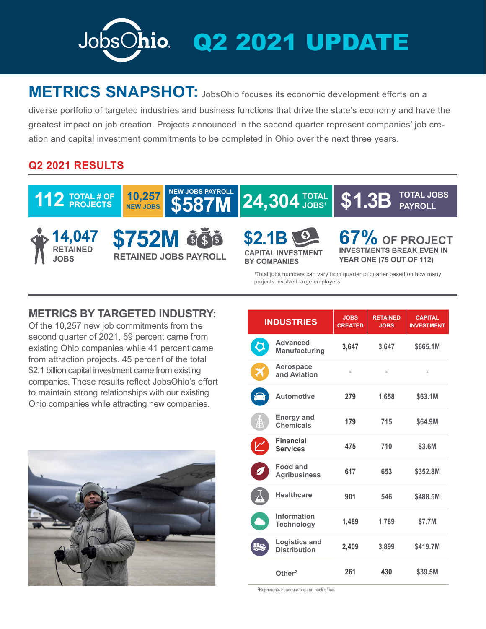

## **METRICS SNAPSHOT:** JobsOhio focuses its economic development efforts on a

diverse portfolio of targeted industries and business functions that drive the state's economy and have the greatest impact on job creation. Projects announced in the second quarter represent companies' job creation and capital investment commitments to be completed in Ohio over the next three years.

## **Q2 2021 RESULTS**



## **METRICS BY TARGETED INDUSTRY:**

Of the 10,257 new job commitments from the second quarter of 2021, 59 percent came from existing Ohio companies while 41 percent came from attraction projects. 45 percent of the total \$2.1 billion capital investment came from existing companies. These results reflect JobsOhio's effort to maintain strong relationships with our existing Ohio companies while attracting new companies.



| <b>INDUSTRIES</b> |                                             | <b>JOBS</b><br><b>CREATED</b> | <b>RETAINED</b><br><b>JOBS</b> | <b>CAPITAL</b><br><b>INVESTMENT</b> |
|-------------------|---------------------------------------------|-------------------------------|--------------------------------|-------------------------------------|
| C                 | <b>Advanced</b><br><b>Manufacturing</b>     | 3,647                         | 3,647                          | \$665.1M                            |
|                   | Aerospace<br>and Aviation                   |                               |                                |                                     |
|                   | <b>Automotive</b>                           | 279                           | 1,658                          | \$63.1M                             |
| 巢                 | <b>Energy and</b><br><b>Chemicals</b>       | 179                           | 715                            | \$64.9M                             |
|                   | <b>Financial</b><br><b>Services</b>         | 475                           | 710                            | \$3.6M                              |
|                   | <b>Food and</b><br><b>Agribusiness</b>      | 617                           | 653                            | \$352.8M                            |
|                   | <b>Healthcare</b>                           | 901                           | 546                            | \$488.5M                            |
|                   | Information<br><b>Technology</b>            | 1,489                         | 1,789                          | \$7.7M                              |
| 55                | <b>Logistics and</b><br><b>Distribution</b> | 2,409                         | 3,899                          | \$419.7M                            |
|                   | Other <sup>2</sup>                          | 261                           | 430                            | \$39.5M                             |

2 Represents headquarters and back office.

projects involved large employers.